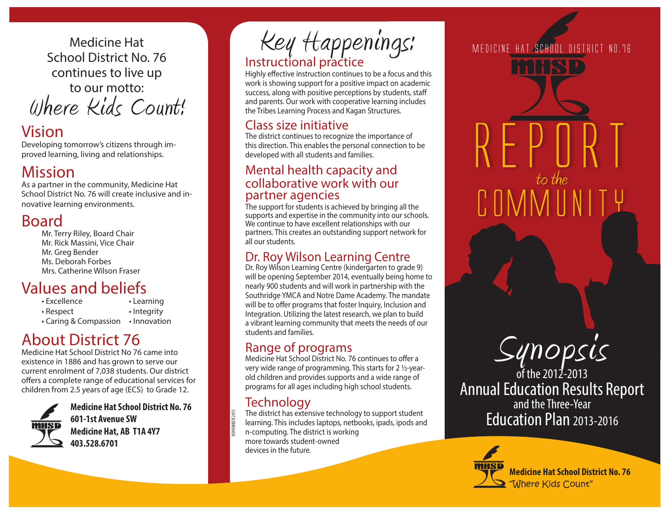Medicine Hat School District No. 76 continues to live up to our motto: Where Kids Count!

# Vision

Developing tomorrow's citizens through improved learning, living and relationships.

# Mission

As a partner in the community, Medicine Hat School District No. 76 will create inclusive and innovative learning environments.

# Board

Mr. Terry Riley, Board Chair Mr. Rick Massini, Vice Chair Mr. Greg Bender Ms. Deborah Forbes Mrs. Catherine Wilson Fraser

# Values and beliefs

| $\cdot$ Excellence    | • Learning   |
|-----------------------|--------------|
| • Respect             | • Integrity  |
| • Caring & Compassion | • Innovation |

# About District 76

Medicine Hat School District No 76 came into existence in 1886 and has grown to serve our current enrolment of 7,038 students. Our district offers a complete range of educational services for children from 2.5 years of age (ECS) to Grade 12.



**Medicine Hat School District No. 76 601-1st Avenue SW Medicine Hat, AB T1A 4Y7 403.528.6701**

Instructional practice Key Happenings: MEDICINE HAT SCHOOL DISTRICT NO.76

Highly effective instruction continues to be a focus and this work is showing support for a positive impact on academic success, along with positive perceptions by students, staff and parents. Our work with cooperative learning includes the Tribes Learning Process and Kagan Structures.

#### Class size initiative

The district continues to recognize the importance of this direction. This enables the personal connection to be developed with all students and families.

#### Mental health capacity and collaborative work with our partner agencies

The support for students is achieved by bringing all the supports and expertise in the community into our schools. We continue to have excellent relationships with our partners. This creates an outstanding support network for all our students.

#### Dr. Roy Wilson Learning Centre

Dr. Roy Wilson Learning Centre (kindergarten to grade 9) will be opening September 2014, eventually being home to nearly 900 students and will work in partnership with the Southridge YMCA and Notre Dame Academy. The mandate will be to offer programs that foster Inquiry, Inclusion and Integration. Utilizing the latest research, we plan to build a vibrant learning community that meets the needs of our students and families.

#### Range of programs

Medicine Hat School District No. 76 continues to offer a very wide range of programming. This starts for 2 ½-yearold children and provides supports and a wide range of programs for all ages including high school students.

### **Technology**

NOVEMBER 2013

The district has extensive technology to support student learning. This includes laptops, netbooks, ipads, ipods and n-computing. The district is working more towards student-owned devices in the future.

REPORT to the COMMUNITY



of the 2012-2013 Annual Education Results Report and the Three-Year Education Plan 2013-2016